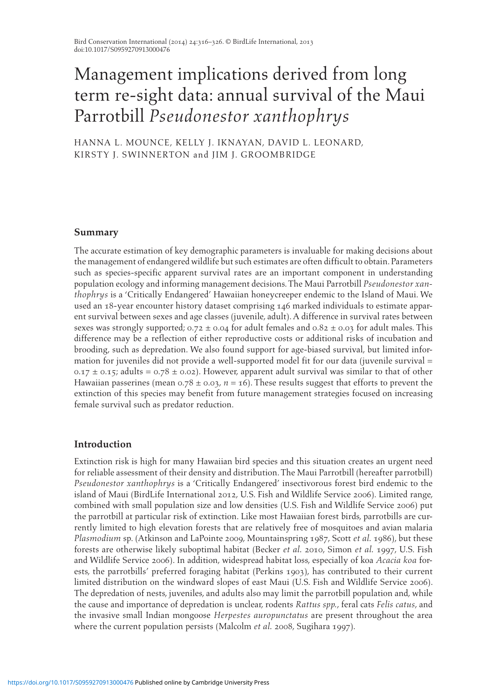# Management implications derived from long term re-sight data: annual survival of the Maui Parrotbill *Pseudonestor xanthophrys*

HANNA L. MOUNCE, KELLY J. IKNAYAN, DAVID L. LEONARD, KIRSTY J. SWINNERTON and JIM J. GROOMBRIDGE

# **Summary**

 The accurate estimation of key demographic parameters is invaluable for making decisions about the management of endangered wildlife but such estimates are often difficult to obtain. Parameters such as species-specific apparent survival rates are an important component in understanding population ecology and informing management decisions. The Maui Parrotbill *Pseudonestor xanthophrys* is a 'Critically Endangered' Hawaiian honeycreeper endemic to the Island of Maui. We used an 18-year encounter history dataset comprising 146 marked individuals to estimate apparent survival between sexes and age classes (juvenile, adult). A difference in survival rates between sexes was strongly supported;  $0.72 \pm 0.04$  for adult females and  $0.82 \pm 0.03$  for adult males. This difference may be a reflection of either reproductive costs or additional risks of incubation and brooding, such as depredation. We also found support for age-biased survival, but limited information for juveniles did not provide a well-supported model fit for our data (juvenile survival =  $0.17 \pm 0.15$ ; adults =  $0.78 \pm 0.02$ ). However, apparent adult survival was similar to that of other Hawaiian passerines (mean  $0.78 \pm 0.03$ ,  $n = 16$ ). These results suggest that efforts to prevent the extinction of this species may benefit from future management strategies focused on increasing female survival such as predator reduction.

# **Introduction**

 Extinction risk is high for many Hawaiian bird species and this situation creates an urgent need for reliable assessment of their density and distribution. The Maui Parrotbill (hereafter parrotbill) *Pseudonestor xanthophrys* is a 'Critically Endangered' insectivorous forest bird endemic to the island of Maui (BirdLife International 2012, U.S. Fish and Wildlife Service 2006). Limited range, combined with small population size and low densities (U.S. Fish and Wildlife Service 2006) put the parrotbill at particular risk of extinction. Like most Hawaiian forest birds, parrotbills are currently limited to high elevation forests that are relatively free of mosquitoes and avian malaria *Plasmodium* sp. (Atkinson and LaPointe 2009, Mountainspring 1987, Scott *et al.* 1986), but these forests are otherwise likely suboptimal habitat (Becker *et al.* 2010 , Simon *et al.* 1997 , U.S. Fish and Wildlife Service 2006). In addition, widespread habitat loss, especially of koa *Acacia koa* forests, the parrotbills' preferred foraging habitat (Perkins 1903 ), has contributed to their current limited distribution on the windward slopes of east Maui (U.S. Fish and Wildlife Service 2006). The depredation of nests, juveniles, and adults also may limit the parrotbill population and, while the cause and importance of depredation is unclear, rodents *Rattus spp.* , feral cats *Felis catus* , and the invasive small Indian mongoose *Herpestes auropunctatus* are present throughout the area where the current population persists (Malcolm *et al.* 2008, Sugihara 1997).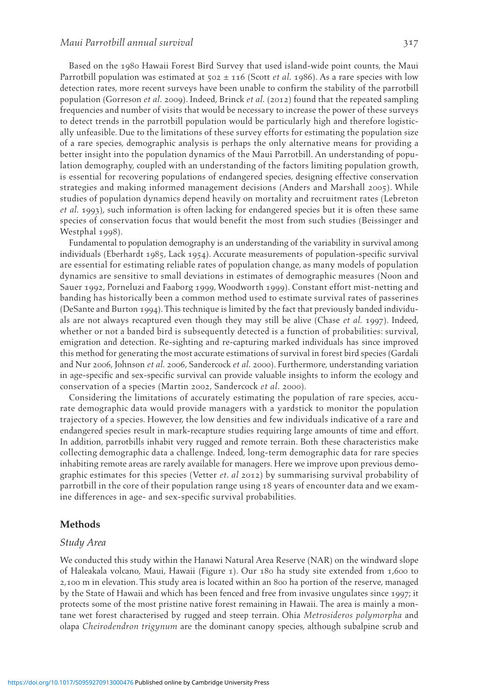Based on the 1980 Hawaii Forest Bird Survey that used island-wide point counts, the Maui Parrotbill population was estimated at  $502 \pm 116$  (Scott *et al.* 1986). As a rare species with low detection rates, more recent surveys have been unable to confirm the stability of the parrotbill population (Gorreson *et al.* 2009). Indeed, Brinck *et al.* (2012) found that the repeated sampling frequencies and number of visits that would be necessary to increase the power of these surveys to detect trends in the parrotbill population would be particularly high and therefore logistically unfeasible. Due to the limitations of these survey efforts for estimating the population size of a rare species, demographic analysis is perhaps the only alternative means for providing a better insight into the population dynamics of the Maui Parrotbill. An understanding of population demography, coupled with an understanding of the factors limiting population growth, is essential for recovering populations of endangered species, designing effective conservation strategies and making informed management decisions (Anders and Marshall 2005). While studies of population dynamics depend heavily on mortality and recruitment rates (Lebreton *et al.* 1993 ), such information is often lacking for endangered species but it is often these same species of conservation focus that would benefit the most from such studies (Beissinger and Westphal 1998).

 Fundamental to population demography is an understanding of the variability in survival among individuals (Eberhardt 1985 , Lack 1954 ). Accurate measurements of population-specific survival are essential for estimating reliable rates of population change, as many models of population dynamics are sensitive to small deviations in estimates of demographic measures (Noon and Sauer 1992 , Porneluzi and Faaborg 1999 , Woodworth 1999 ). Constant effort mist-netting and banding has historically been a common method used to estimate survival rates of passerines (DeSante and Burton 1994 ). This technique is limited by the fact that previously banded individuals are not always recaptured even though they may still be alive (Chase *et al.* 1997 ). Indeed, whether or not a banded bird is subsequently detected is a function of probabilities: survival, emigration and detection. Re-sighting and re-capturing marked individuals has since improved this method for generating the most accurate estimations of survival in forest bird species (Gardali and Nur 2006 , Johnson *et al.* 2006 , Sandercock *et al.* 2000 ). Furthermore, understanding variation in age-specific and sex-specific survival can provide valuable insights to inform the ecology and conservation of a species (Martin 2002, Sandercock et al. 2000).

 Considering the limitations of accurately estimating the population of rare species, accurate demographic data would provide managers with a yardstick to monitor the population trajectory of a species. However, the low densities and few individuals indicative of a rare and endangered species result in mark-recapture studies requiring large amounts of time and effort. In addition, parrotbills inhabit very rugged and remote terrain. Both these characteristics make collecting demographic data a challenge. Indeed, long-term demographic data for rare species inhabiting remote areas are rarely available for managers. Here we improve upon previous demographic estimates for this species (Vetter *et. al* 2012 ) by summarising survival probability of parrotbill in the core of their population range using 18 years of encounter data and we examine differences in age- and sex-specific survival probabilities.

## **Methods**

#### *Study Area*

 We conducted this study within the Hanawi Natural Area Reserve (NAR) on the windward slope of Haleakala volcano, Maui, Hawaii (Figure 1). Our 180 ha study site extended from 1,600 to 2,100 m in elevation. This study area is located within an 800 ha portion of the reserve, managed by the State of Hawaii and which has been fenced and free from invasive ungulates since 1997; it protects some of the most pristine native forest remaining in Hawaii. The area is mainly a montane wet forest characterised by rugged and steep terrain. Ohia *Metrosideros polymorpha* and olapa *Cheirodendron trigynum* are the dominant canopy species, although subalpine scrub and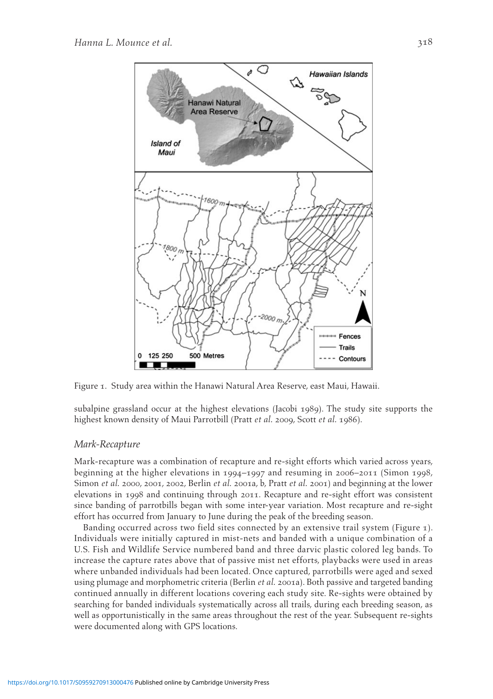

Figure 1. Study area within the Hanawi Natural Area Reserve, east Maui, Hawaii.

subalpine grassland occur at the highest elevations (Jacobi 1989 ). The study site supports the highest known density of Maui Parrotbill (Pratt *et al.* 2009, Scott *et al.* 1986).

#### *Mark-Recapture*

 Mark-recapture was a combination of recapture and re-sight efforts which varied across years, beginning at the higher elevations in 1994–1997 and resuming in 2006–2011 (Simon 1998, Simon *et al.* 2000, 2001, 2002, Berlin *et al.* 2001a, b, Pratt *et al.* 2001) and beginning at the lower elevations in 1998 and continuing through 2011. Recapture and re-sight effort was consistent since banding of parrotbills began with some inter-year variation. Most recapture and re-sight effort has occurred from January to June during the peak of the breeding season.

Banding occurred across two field sites connected by an extensive trail system (Figure 1). Individuals were initially captured in mist-nets and banded with a unique combination of a U.S. Fish and Wildlife Service numbered band and three darvic plastic colored leg bands. To increase the capture rates above that of passive mist net efforts, playbacks were used in areas where unbanded individuals had been located. Once captured, parrotbills were aged and sexed using plumage and morphometric criteria (Berlin *et al.* 2001a). Both passive and targeted banding continued annually in different locations covering each study site. Re-sights were obtained by searching for banded individuals systematically across all trails, during each breeding season, as well as opportunistically in the same areas throughout the rest of the year. Subsequent re-sights were documented along with GPS locations.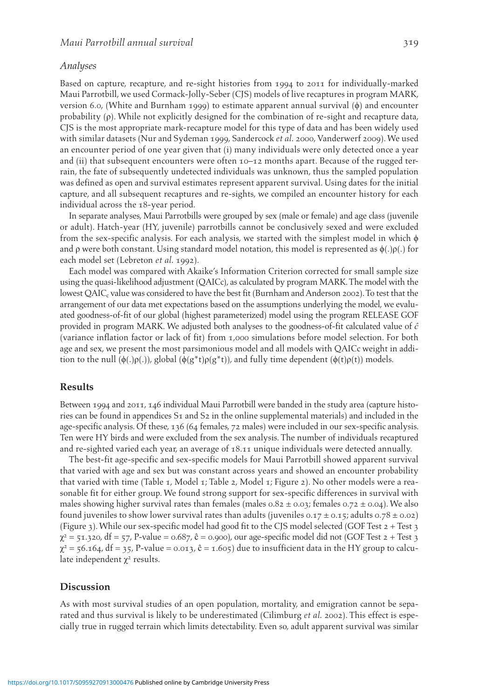#### *Analyses*

 Based on capture, recapture, and re-sight histories from 1994 to 2011 for individually-marked Maui Parrotbill, we used Cormack-Jolly-Seber (CJS) models of live recaptures in program MARK, version 6.0, (White and Burnham 1999) to estimate apparent annual survival  $(\phi)$  and encounter probability  $(\rho)$ . While not explicitly designed for the combination of re-sight and recapture data, CJS is the most appropriate mark-recapture model for this type of data and has been widely used with similar datasets (Nur and Sydeman 1999, Sandercock et al. 2000, Vanderwerf 2009). We used an encounter period of one year given that (i) many individuals were only detected once a year and (ii) that subsequent encounters were often 10–12 months apart. Because of the rugged terrain, the fate of subsequently undetected individuals was unknown, thus the sampled population was defined as open and survival estimates represent apparent survival. Using dates for the initial capture, and all subsequent recaptures and re-sights, we compiled an encounter history for each individual across the 18-year period.

 In separate analyses, Maui Parrotbills were grouped by sex (male or female) and age class (juvenile or adult). Hatch-year (HY, juvenile) parrotbills cannot be conclusively sexed and were excluded from the sex-specific analysis. For each analysis, we started with the simplest model in which  $\phi$ and  $\rho$  were both constant. Using standard model notation, this model is represented as  $\phi(.)\rho(.)$  for each model set (Lebreton *et al.* 1992 ).

 Each model was compared with Akaike's Information Criterion corrected for small sample size using the quasi-likelihood adjustment (QAICc), as calculated by program MARK. The model with the lowest QAIC, value was considered to have the best fit (Burnham and Anderson 2002). To test that the arrangement of our data met expectations based on the assumptions underlying the model, we evaluated goodness-of-fit of our global (highest parameterized) model using the program RELEASE GOF provided in program MARK. We adjusted both analyses to the goodness-of-fit calculated value of *ĉ* (variance inflation factor or lack of fit) from 1,000 simulations before model selection. For both age and sex, we present the most parsimonious model and all models with QAICc weight in addition to the null  $(\phi(.)\rho(.))$ , global  $(\phi(g^*t)\rho(g^*t))$ , and fully time dependent  $(\phi(t)\rho(t))$  models.

#### **Results**

 Between 1994 and 2011, 146 individual Maui Parrotbill were banded in the study area (capture histories can be found in appendices S1 and S2 in the online supplemental materials) and included in the age-specific analysis. Of these, 136 (64 females, 72 males) were included in our sex-specific analysis. Ten were HY birds and were excluded from the sex analysis. The number of individuals recaptured and re-sighted varied each year, an average of 18.11 unique individuals were detected annually.

 The best-fit age-specific and sex-specific models for Maui Parrotbill showed apparent survival that varied with age and sex but was constant across years and showed an encounter probability that varied with time (Table 1, Model 1; Table 2, Model 1; Figure 2). No other models were a reasonable fit for either group. We found strong support for sex-specific differences in survival with males showing higher survival rates than females (males  $0.82 \pm 0.03$ ; females  $0.72 \pm 0.04$ ). We also found juveniles to show lower survival rates than adults (juveniles 0.17  $\pm$  0.15; adults 0.78  $\pm$  0.02) ( Figure 3 ). While our sex-specific model had good fit to the CJS model selected (GOF Test 2 + Test 3  $\chi^2$  = 51.320, df = 57, P-value = 0.687, ĉ = 0.900), our age-specific model did not (GOF Test 2 + Test 3  $\chi^2$  = 56.164, df = 35, P-value = 0.013,  $\hat{c}$  = 1.605) due to insufficient data in the HY group to calculate independent  $\chi^2$  results.

# **Discussion**

 As with most survival studies of an open population, mortality, and emigration cannot be separated and thus survival is likely to be underestimated (Cilimburg *et al.* 2002 ). This effect is especially true in rugged terrain which limits detectability. Even so, adult apparent survival was similar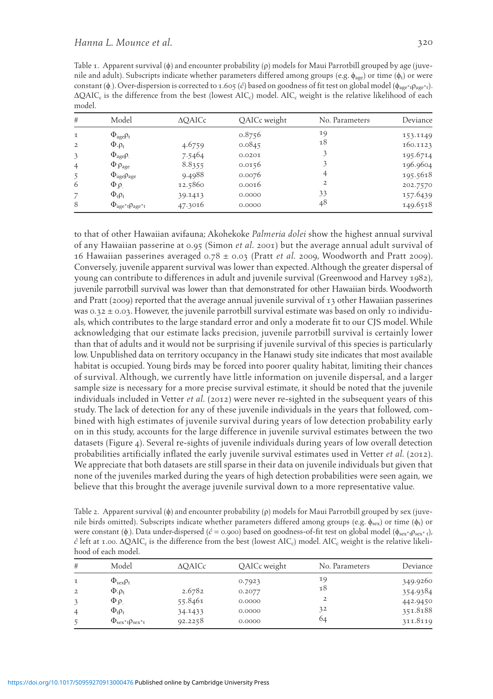Table 1. Apparent survival  $(\phi)$  and encounter probability  $(\rho)$  models for Maui Parrotbill grouped by age (juvenile and adult). Subscripts indicate whether parameters differed among groups (e.g.  $\phi_{\text{ave}}$ ) or time ( $\phi_t$ ) or were constant (φ). Over-dispersion is corrected to 1.605 (ĉ) based on goodness of fit test on global model (φ<sub>age\*t</sub>ρ<sub>age\*t</sub>).  $\Delta Q AIC_c$  is the difference from the best (lowest AIC<sub>c</sub>) model. AIC<sub>c</sub> weight is the relative likelihood of each model.

| #              | Model                                         | $\triangle$ OAICc | QAICc weight | No. Parameters | Deviance |
|----------------|-----------------------------------------------|-------------------|--------------|----------------|----------|
| $\mathbf I$    | $\Phi_{\text{age}}\rho_{\text{t}}$            |                   | 0.8756       | 19             | 153.1149 |
| 2              | $\Phi \cdot \rho_t$                           | 4.6759            | 0.0845       | 18             | 160.1123 |
| 3              | $\Phi_{\text{age}}\rho$ .                     | 7.5464            | 0.0201       |                | 195.6714 |
| $\overline{4}$ | $\Phi$ <sub>.</sub> $\rho_{\text{age}}$       | 8.8355            | 0.0156       |                | 196.9604 |
| 5              | $\Phi_{\text{age}}\rho_{\text{age}}$          | 9.4988            | 0.0076       | 4              | 195.5618 |
| 6              | $\Phi_{\rho}$                                 | 12.5860           | 0.0016       | 2              | 202.7570 |
|                | $\Phi_t \rho_t$                               | 39.1413           | 0.0000       | 33             | 157.6439 |
| 8              | $\Phi_{\text{age}^*t}$ $\rho_{\text{age}^*t}$ | 47.3016           | 0.0000       | 48             | 149.6518 |

to that of other Hawaiian avifauna; Akohekoke *Palmeria dolei* show the highest annual survival of any Hawaiian passerine at 0.95 (Simon *et al.* 2001 ) but the average annual adult survival of 16 Hawaiian passerines averaged  $0.78 \pm 0.03$  (Pratt *et al.* 2009, Woodworth and Pratt 2009). Conversely, juvenile apparent survival was lower than expected. Although the greater dispersal of young can contribute to differences in adult and juvenile survival (Greenwood and Harvey 1982), juvenile parrotbill survival was lower than that demonstrated for other Hawaiian birds. Woodworth and Pratt (2009) reported that the average annual juvenile survival of 13 other Hawaiian passerines was  $0.32 \pm 0.03$ . However, the juvenile parrotbill survival estimate was based on only 10 individuals, which contributes to the large standard error and only a moderate fit to our CJS model. While acknowledging that our estimate lacks precision, juvenile parrotbill survival is certainly lower than that of adults and it would not be surprising if juvenile survival of this species is particularly low. Unpublished data on territory occupancy in the Hanawi study site indicates that most available habitat is occupied. Young birds may be forced into poorer quality habitat, limiting their chances of survival. Although, we currently have little information on juvenile dispersal, and a larger sample size is necessary for a more precise survival estimate, it should be noted that the juvenile individuals included in Vetter *et al.* ( 2012 ) were never re-sighted in the subsequent years of this study. The lack of detection for any of these juvenile individuals in the years that followed, combined with high estimates of juvenile survival during years of low detection probability early on in this study, accounts for the large difference in juvenile survival estimates between the two datasets (Figure 4). Several re-sights of juvenile individuals during years of low overall detection probabilities artificially inflated the early juvenile survival estimates used in Vetter *et al.* ( 2012 ). We appreciate that both datasets are still sparse in their data on juvenile individuals but given that none of the juveniles marked during the years of high detection probabilities were seen again, we believe that this brought the average juvenile survival down to a more representative value.

Table 2. Apparent survival ( $\phi$ ) and encounter probability ( $\rho$ ) models for Maui Parrotbill grouped by sex (juvenile birds omitted). Subscripts indicate whether parameters differed among groups (e.g.  $\phi_{sex}$ ) or time ( $\phi_t$ ) or were constant ( $\phi$ ). Data under-dispersed ( $\hat{c}$  = 0.900) based on goodness-of-fit test on global model ( $\phi_{sex^*t}$ ),  $\hat{c}$  left at 1.00.  $\Delta Q AIC_c$  is the difference from the best (lowest AIC<sub>c</sub>) model. AIC<sub>c</sub> weight is the relative likelihood of each model.

| #              | Model                                       | <b>AOAICc</b> | QAICc weight | No. Parameters | Deviance |
|----------------|---------------------------------------------|---------------|--------------|----------------|----------|
| $\tau$         | $\Phi_{\text{sex}}\rho_{\text{t}}$          |               | 0.7923       | 19             | 349.9260 |
| $\overline{2}$ | $\Phi \cdot \rho_t$                         | 2.6782        | 0.2077       | 18             | 354.9384 |
|                | $\Phi$ . $\rho$ .                           | 55.8461       | 0.0000       | $\overline{2}$ | 442.9450 |
| $\overline{4}$ | $\Phi_t \rho_t$                             | 34.1433       | 0.0000       | 32             | 351.8188 |
|                | $\Phi_{\text{sex}*t}$ $\rho_{\text{sex}*t}$ | 92.2258       | 0.0000       | 64             | 311.8119 |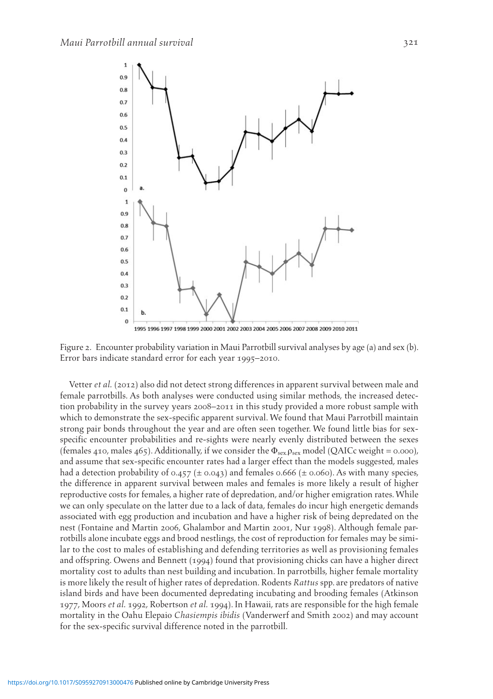

1995 1996 1997 1998 1999 2000 2001 2002 2003 2004 2005 2006 2007 2008 2009 2010 2011

 Figure 2. Encounter probability variation in Maui Parrotbill survival analyses by age (a) and sex (b). Error bars indicate standard error for each year 1995–2010.

 Vetter *et al.* ( 2012 ) also did not detect strong differences in apparent survival between male and female parrotbills. As both analyses were conducted using similar methods, the increased detection probability in the survey years 2008–2011 in this study provided a more robust sample with which to demonstrate the sex-specific apparent survival. We found that Maui Parrotbill maintain strong pair bonds throughout the year and are often seen together. We found little bias for sexspecific encounter probabilities and re-sights were nearly evenly distributed between the sexes (females 410, males 465). Additionally, if we consider the  $\Phi_{\text{sex}}$  p<sub>sex</sub> model (QAICc weight = 0.000), and assume that sex-specific encounter rates had a larger effect than the models suggested, males had a detection probability of 0.457 ( $\pm$  0.043) and females 0.666 ( $\pm$  0.060). As with many species, the difference in apparent survival between males and females is more likely a result of higher reproductive costs for females, a higher rate of depredation, and/or higher emigration rates. While we can only speculate on the latter due to a lack of data, females do incur high energetic demands associated with egg production and incubation and have a higher risk of being depredated on the nest (Fontaine and Martin 2006, Ghalambor and Martin 2001, Nur 1998). Although female parrotbills alone incubate eggs and brood nestlings, the cost of reproduction for females may be similar to the cost to males of establishing and defending territories as well as provisioning females and offspring. Owens and Bennett ( 1994 ) found that provisioning chicks can have a higher direct mortality cost to adults than nest building and incubation. In parrotbills, higher female mortality is more likely the result of higher rates of depredation. Rodents *Rattus* spp. are predators of native island birds and have been documented depredating incubating and brooding females (Atkinson 1977 , Moors *et al.* 1992 , Robertson *et al.* 1994 ). In Hawaii, rats are responsible for the high female mortality in the Oahu Elepaio *Chasiempis ibidis* (Vanderwerf and Smith 2002 ) and may account for the sex-specific survival difference noted in the parrotbill.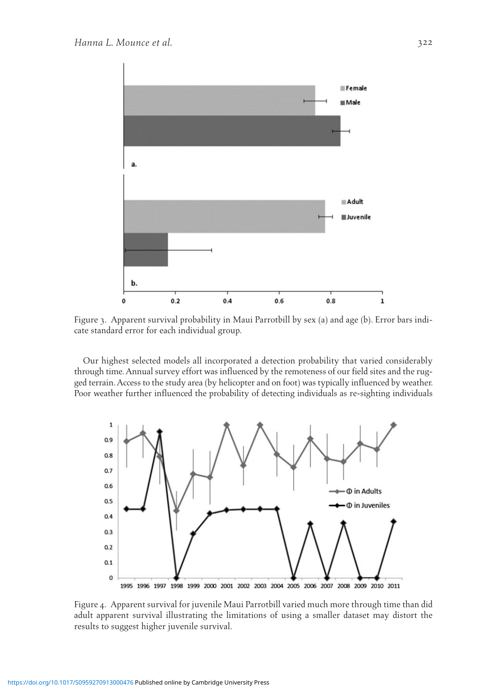

 Figure 3. Apparent survival probability in Maui Parrotbill by sex (a) and age (b). Error bars indicate standard error for each individual group.

 Our highest selected models all incorporated a detection probability that varied considerably through time. Annual survey effort was influenced by the remoteness of our field sites and the rugged terrain. Access to the study area (by helicopter and on foot) was typically influenced by weather. Poor weather further influenced the probability of detecting individuals as re-sighting individuals



 Figure 4. Apparent survival for juvenile Maui Parrotbill varied much more through time than did adult apparent survival illustrating the limitations of using a smaller dataset may distort the results to suggest higher juvenile survival.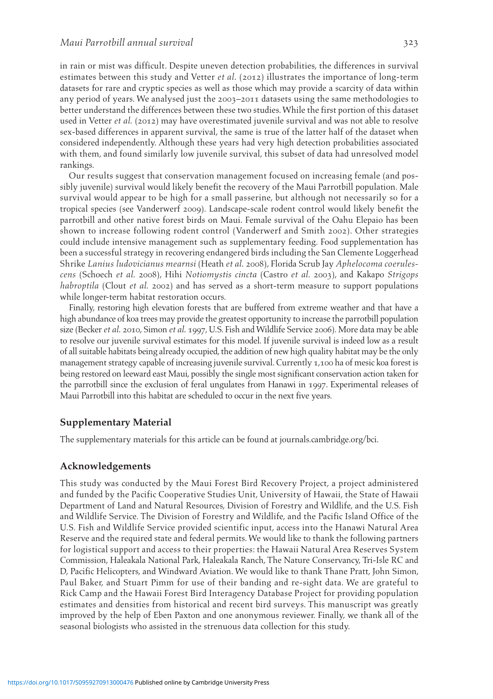in rain or mist was difficult. Despite uneven detection probabilities, the differences in survival estimates between this study and Vetter *et al.* ( 2012 ) illustrates the importance of long-term datasets for rare and cryptic species as well as those which may provide a scarcity of data within any period of years. We analysed just the 2003–2011 datasets using the same methodologies to better understand the differences between these two studies. While the first portion of this dataset used in Vetter *et al.* (2012) may have overestimated juvenile survival and was not able to resolve sex-based differences in apparent survival, the same is true of the latter half of the dataset when considered independently. Although these years had very high detection probabilities associated with them, and found similarly low juvenile survival, this subset of data had unresolved model rankings.

 Our results suggest that conservation management focused on increasing female (and possibly juvenile) survival would likely benefit the recovery of the Maui Parrotbill population. Male survival would appear to be high for a small passerine, but although not necessarily so for a tropical species (see Vanderwerf 2009). Landscape-scale rodent control would likely benefit the parrotbill and other native forest birds on Maui. Female survival of the Oahu Elepaio has been shown to increase following rodent control (Vanderwerf and Smith 2002 ). Other strategies could include intensive management such as supplementary feeding. Food supplementation has been a successful strategy in recovering endangered birds including the San Clemente Loggerhead Shrike *Lanius ludovicianus mearnsi* (Heath *et al.* 2008 ), Florida Scrub Jay *Aphelocoma coerulescens* (Schoech *et al.* 2008 ), Hihi *Notiomystis cincta* (Castro *et al.* 2003 ), and Kakapo *Strigops habroptila* (Clout *et al.* 2002) and has served as a short-term measure to support populations while longer-term habitat restoration occurs.

 Finally, restoring high elevation forests that are buffered from extreme weather and that have a high abundance of koa trees may provide the greatest opportunity to increase the parrotbill population size (Becker *et al.* 2010 , Simon *et al.* 1997 , U.S. Fish and Wildlife Service 2006). More data may be able to resolve our juvenile survival estimates for this model. If juvenile survival is indeed low as a result of all suitable habitats being already occupied, the addition of new high quality habitat may be the only management strategy capable of increasing juvenile survival. Currently 1,100 ha of mesic koa forest is being restored on leeward east Maui, possibly the single most significant conservation action taken for the parrotbill since the exclusion of feral ungulates from Hanawi in 1997. Experimental releases of Maui Parrotbill into this habitat are scheduled to occur in the next five years.

## **Supplementary Material**

The supplementary materials for this article can be found at journals.cambridge.org/bci.

# **Acknowledgements**

 This study was conducted by the Maui Forest Bird Recovery Project, a project administered and funded by the Pacific Cooperative Studies Unit, University of Hawaii, the State of Hawaii Department of Land and Natural Resources, Division of Forestry and Wildlife, and the U.S. Fish and Wildlife Service. The Division of Forestry and Wildlife, and the Pacific Island Office of the U.S. Fish and Wildlife Service provided scientific input, access into the Hanawi Natural Area Reserve and the required state and federal permits. We would like to thank the following partners for logistical support and access to their properties: the Hawaii Natural Area Reserves System Commission, Haleakala National Park, Haleakala Ranch, The Nature Conservancy, Tri-Isle RC and D, Pacific Helicopters, and Windward Aviation. We would like to thank Thane Pratt, John Simon, Paul Baker, and Stuart Pimm for use of their banding and re-sight data. We are grateful to Rick Camp and the Hawaii Forest Bird Interagency Database Project for providing population estimates and densities from historical and recent bird surveys. This manuscript was greatly improved by the help of Eben Paxton and one anonymous reviewer. Finally, we thank all of the seasonal biologists who assisted in the strenuous data collection for this study.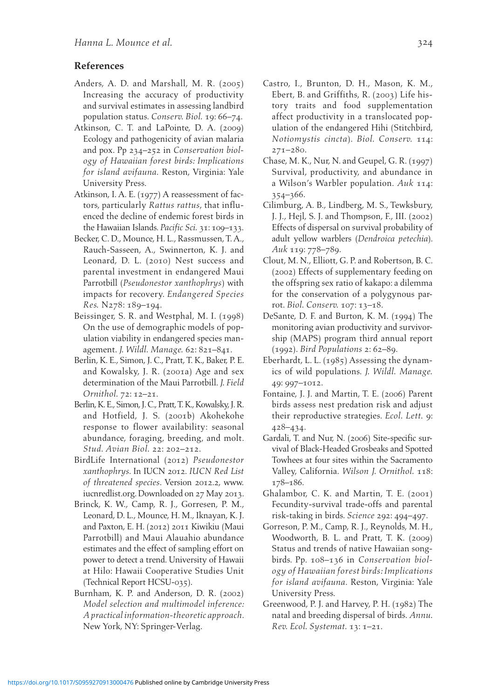# **References**

- Anders, A. D. and Marshall, M. R.  $(2005)$  Increasing the accuracy of productivity and survival estimates in assessing landbird population status . *Conserv. Biol.* 19 : 66 – 74 .
- Atkinson, C. T. and LaPointe, D. A. (2009) Ecology and pathogenicity of avian malaria and pox. Pp 234-252 in *Conservation biology of Hawaiian forest birds: Implications for island avifauna* . Reston, Virginia : Yale University Press.
- Atkinson, I. A. E. (1977) A reassessment of factors, particularly *Rattus rattus* , that influenced the decline of endemic forest birds in the Hawaiian Islands. *Pacific Sci.* 31: 109-133.
- Becker, C. D., Mounce, H. L., Rassmussen, T. A., Rauch-Sasseen, A., Swinnerton, K. J. and Leonard, D. L. (2010) Nest success and parental investment in endangered Maui Parrotbill (*Pseudonestor xanthophrys*) with impacts for recovery . *Endangered Species Res.* N278: 189-194.
- Beissinger, S. R. and Westphal, M. I. (1998) On the use of demographic models of population viability in endangered species management. *J. Wildl. Manage.* 62: 821-841.
- Berlin, K. E., Simon, J. C., Pratt, T. K., Baker, P. E. and Kowalsky, J. R. (2001a) Age and sex determination of the Maui Parrotbill . *J. Field Ornithol.* 72: 12-21.
- Berlin, K. E., Simon, J. C., Pratt, T. K., Kowalsky, J. R. and Hotfield, J. S. (2001b) Akohekohe response to flower availability: seasonal abundance, foraging, breeding, and molt. *Stud. Avian Biol.* 22: 202-212.
- BirdLife International ( 2012 ) *Pseudonestor xanthophrys* . In IUCN 2012. *IUCN Red List of threatened species* . Version 2012.2 , www. iucnredlist.org. Downloaded on 27 May 2013.
- Brinck, K. W., Camp, R. J., Gorresen, P. M., Leonard, D. L., Mounce, H. M., Iknayan, K. J. and Paxton, E. H. (2012) 2011 Kiwikiu (Maui Parrotbill) and Maui Alauahio abundance estimates and the effect of sampling effort on power to detect a trend. University of Hawaii at Hilo: Hawaii Cooperative Studies Unit (Technical Report HCSU-035) .
- Burnham, K. P. and Anderson, D. R. (2002) *Model selection and multimodel inference: A practical information-theoretic approach* . New York, NY: Springer-Verlag.
- Castro, I., Brunton, D. H., Mason, K. M., Ebert, B. and Griffiths, R. (2003) Life history traits and food supplementation affect productivity in a translocated population of the endangered Hihi (Stitchbird, *Notiomystis cincta* ) . *Biol. Conserv.* 114 :  $271 - 280.$
- Chase, M. K., Nur, N. and Geupel, G. R. (1997) Survival, productivity, and abundance in a Wilson's Warbler population . *Auk* 114 :  $354 - 366.$
- Cilimburg, A. B., Lindberg, M. S., Tewksbury, J. J., Hejl, S. J. and Thompson, F., III. (2002) Effects of dispersal on survival probability of adult yellow warblers (Dendroica petechia). Auk 119: 778-789.
- Clout, M. N., Elliott, G. P. and Robertson, B. C. ( 2002 ) Effects of supplementary feeding on the offspring sex ratio of kakapo: a dilemma for the conservation of a polygynous parrot. *Biol. Conserv.* 107: 13-18.
- DeSante, D. F. and Burton, K. M. (1994) The monitoring avian productivity and survivorship (MAPS) program third annual report (1992) . *Bird Populations* 2 : 62 – 89 .
- Eberhardt, L. L.  $(1985)$  Assessing the dynamics of wild populations . *J. Wildl. Manage.* 49: 997-1012.
- Fontaine, J. J. and Martin, T. E. (2006) Parent birds assess nest predation risk and adjust their reproductive strategies . *Ecol. Lett.* 9 :  $428 - 434$ .
- Gardali, T. and Nur, N. (2006) Site-specific survival of Black-Headed Grosbeaks and Spotted Towhees at four sites within the Sacramento Valley, California . *Wilson J. Ornithol.* 118 : 178-186.
- Ghalambor, C. K. and Martin, T. E.  $(2001)$  Fecundity-survival trade-offs and parental risk-taking in birds. Science 292: 494-497.
- Gorreson, P. M., Camp, R. J., Reynolds, M. H., Woodworth, B. L. and Pratt, T. K. (2009) Status and trends of native Hawaiian songbirds. Pp. 108-136 in *Conservation biology of Hawaiian forest birds: Implications for island avifauna*. Reston, Virginia: Yale University Press.
- Greenwood, P. J. and Harvey, P. H. (1982) The natal and breeding dispersal of birds . *Annu. Rev. Ecol. Systemat.* 13: 1-21.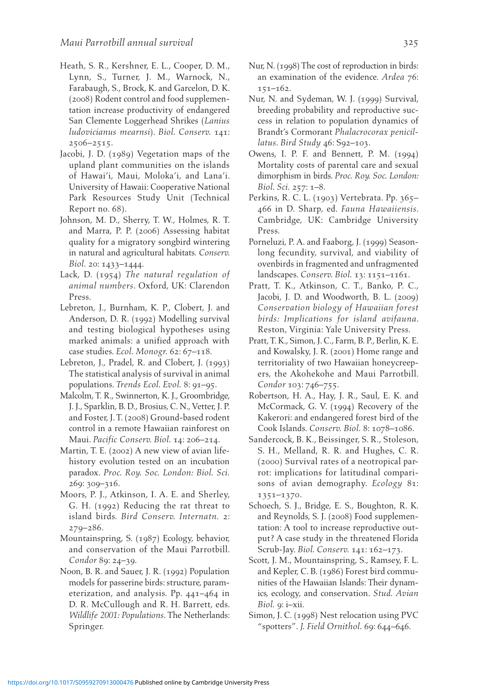- Heath, S. R., Kershner, E. L., Cooper, D. M., Lynn, S., Turner, J. M., Warnock, N., Farabaugh, S., Brock, K. and Garcelon, D. K. ( 2008 ) Rodent control and food supplementation increase productivity of endangered San Clemente Loggerhead Shrikes ( *Lanius ludovicianus mearnsi* ) . *Biol. Conserv.* 141 :  $2506 - 2515$ .
- Jacobi, J. D. (1989) Vegetation maps of the upland plant communities on the islands of Hawai'i, Maui, Moloka'i, and Lana'i. University of Hawaii: Cooperative National Park Resources Study Unit (Technical Report no. 68) .
- Johnson, M. D., Sherry, T. W., Holmes, R. T. and Marra, P. P. (2006) Assessing habitat quality for a migratory songbird wintering in natural and agricultural habitats. Conserv. *Biol.* 20: 1433-1444.
- Lack, D. (1954) *The natural regulation of animal numbers* . Oxford, UK : Clarendon Press.
- Lebreton, J., Burnham, K. P., Clobert, J. and Anderson, D. R. (1992) Modelling survival and testing biological hypotheses using marked animals: a unified approach with case studies. *Ecol. Monogr.* 62: 67-118.
- Lebreton, J., Pradel, R. and Clobert, J. (1993) The statistical analysis of survival in animal populations. *Trends Ecol. Evol.* 8: 91-95.
- Malcolm, T. R., Swinnerton, K. J., Groombridge, J. J., Sparklin, B. D., Brosius, C. N., Vetter, J. P. and Foster, J. T. (2008) Ground-based rodent control in a remote Hawaiian rainforest on Maui. *Pacific Conserv. Biol.* 14: 206-214.
- Martin, T. E. (2002) A new view of avian lifehistory evolution tested on an incubation paradox . *Proc. Roy. Soc. London: Biol. Sci.* 269: 309-316.
- Moors, P. J., Atkinson, I. A. E. and Sherley, G. H. (1992) Reducing the rat threat to island birds. *Bird Conserv. Internatn.* 2:  $279 - 286$ .
- Mountainspring, S. (1987) Ecology, behavior, and conservation of the Maui Parrotbill. *Condor* 89: 24-39.
- Noon, B. R. and Sauer, J. R. (1992) Population models for passerine birds: structure, parameterization, and analysis. Pp.  $441 - 464$  in D. R. McCullough and R. H. Barrett, eds. *Wildlife 2001: Populations*. The Netherlands: Springer.
- Nur, N. (1998) The cost of reproduction in birds: an examination of the evidence. Ardea 76:  $151 - 162$ .
- Nur, N. and Sydeman, W. J. (1999) Survival, breeding probability and reproductive success in relation to population dynamics of Brandt's Cormorant *Phalacrocorax penicillatus*. *Bird Study* 46: S92-103.
- Owens, I. P. F. and Bennett, P. M.  $(1994)$  Mortality costs of parental care and sexual dimorphism in birds . *Proc. Roy. Soc. London: Biol. Sci.* 257: 1-8.
- Perkins, R. C. L. (1903) Vertebrata. Pp. 365-466 in D. Sharp , ed. *Fauna Hawaiiensis* . Cambridge, UK: Cambridge University Press.
- Porneluzi, P. A. and Faaborg, J. (1999) Seasonlong fecundity, survival, and viability of ovenbirds in fragmented and unfragmented landscapes. *Conserv. Biol.* 13: 1151-1161.
- Pratt, T. K., Atkinson, C. T., Banko, P. C., Jacobi, J. D. and Woodworth, B. L. (2009) *Conservation biology of Hawaiian forest birds: Implications for island avifauna* . Reston, Virginia: Yale University Press.
- Pratt, T. K., Simon, J. C., Farm, B. P., Berlin, K. E. and Kowalsky, J. R. (2001) Home range and territoriality of two Hawaiian honeycreepers, the Akohekohe and Maui Parrotbill. Condor 103: 746-755.
- Robertson, H. A., Hay, J. R., Saul, E. K. and McCormack, G. V. (1994) Recovery of the Kakerori: and endangered forest bird of the Cook Islands. *Conserv. Biol.* 8: 1078-1086.
- Sandercock, B. K., Beissinger, S. R., Stoleson, S. H., Melland, R. R. and Hughes, C. R. ( 2000 ) Survival rates of a neotropical parrot: implications for latitudinal comparisons of avian demography. *Ecology* 81: 1351-1370.
- Schoech, S. J., Bridge, E. S., Boughton, R. K. and Reynolds, S. J. (2008) Food supplementation: A tool to increase reproductive output? A case study in the threatened Florida Scrub-Jay. *Biol. Conserv.* 141: 162-173.
- Scott, J. M., Mountainspring, S., Ramsey, F. L. and Kepler, C. B. (1986) Forest bird communities of the Hawaiian Islands: Their dynamics, ecology, and conservation . *Stud. Avian Biol.* 9: i-xii.
- Simon, J. C. (1998) Nest relocation using PVC "spotters". *J. Field Ornithol.* 69: 644–646.